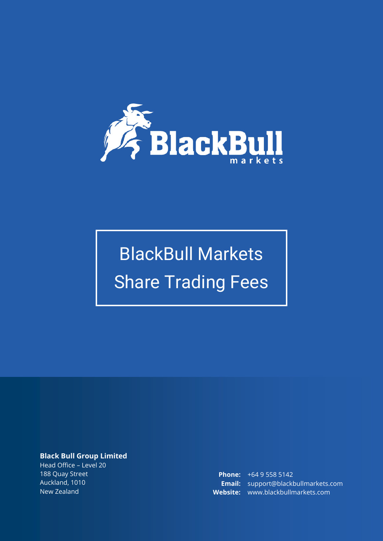

# BlackBull Markets Share Trading Fees

## **Black Bull Group Limited**

Head Office – Level 20 188 Quay Street Auckland, 1010 New Zealand

**Phone:** +64 9 558 5142 **Email:** support@blackbullmarkets.com **Website:** www.blackbullmarkets.com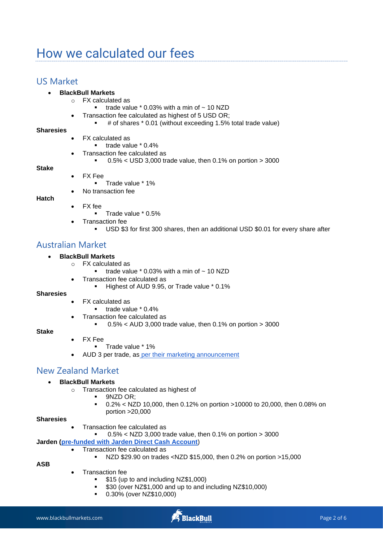# How we calculated our fees

# US Market

#### • **BlackBull Markets**

- o FX calculated as
	- trade value  $*$  0.03% with a min of  $\sim$  10 NZD
- Transaction fee calculated as highest of 5 USD OR;
	- # of shares \* 0.01 (without exceeding 1.5% total trade value)

#### **Sharesies**

- FX calculated as
	- trade value \* 0.4%
- Transaction fee calculated as
	- $\bullet$  0.5% < USD 3,000 trade value, then 0.1% on portion > 3000
- **Stake**
- FX Fee
	- Trade value \* 1%
	- No transaction fee

#### **Hatch**

- FX fee
	- Trade value \* 0.5%
	- Transaction fee
		- USD \$3 for first 300 shares, then an additional USD \$0.01 for every share after

# Australian Market

#### • **BlackBull Markets**

- o FX calculated as
	- trade value  $*$  0.03% with a min of  $\sim$  10 NZD
	- Transaction fee calculated as
		- Highest of AUD 9.95, or Trade value \* 0.1%

#### **Sharesies**

- FX calculated as
	- trade value \* 0.4%
- Transaction fee calculated as
	- $\bullet$  0.5% < AUD 3,000 trade value, then 0.1% on portion > 3000

#### **Stake**

- FX Fee
	- Trade value \* 1%
- AUD 3 per trade, as [per their marketing announcement](https://hellostake.com/au/asx)

# New Zealand Market

#### • **BlackBull Markets**

- o Transaction fee calculated as highest of
	- 9NZD OR;
	- 0.2% < NZD 10,000, then 0.12% on portion >10000 to 20,000, then 0.08% on portion >20,000

#### **Sharesies**

- Transaction fee calculated as
	- $\blacksquare$  0.5% < NZD 3,000 trade value, then 0.1% on portion > 3000

#### **Jarden [\(pre-funded with Jarden Direct Cash Account](https://www.jardendirect.co.nz/pricing)**)

- Transaction fee calculated as
	- NZD \$29.90 on trades <NZD \$15,000, then 0.2% on portion >15,000

**ASB**

- Transaction fee
	- \$15 (up to and including NZ\$1,000)
	- \$30 (over NZ\$1,000 and up to and including NZ\$10,000)
	- 0.30% (over NZ\$10,000)

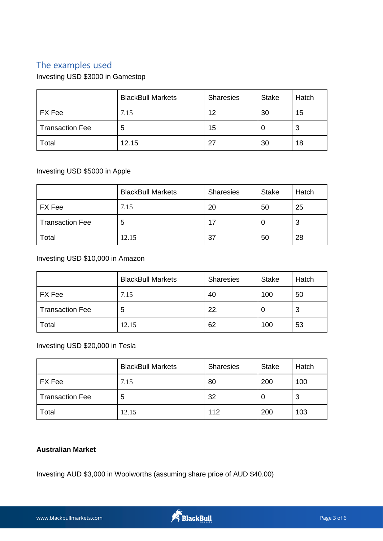# The examples used

Investing USD \$3000 in Gamestop

|                        | <b>BlackBull Markets</b> | <b>Sharesies</b> | <b>Stake</b> | Hatch |
|------------------------|--------------------------|------------------|--------------|-------|
| FX Fee                 | 7.15                     | 12               | 30           | 15    |
| <b>Transaction Fee</b> | 5                        | 15               | U            | 3     |
| Total                  | 12.15                    | 27               | 30           | 18    |

# Investing USD \$5000 in Apple

|                        | <b>BlackBull Markets</b> | <b>Sharesies</b> | <b>Stake</b> | Hatch |
|------------------------|--------------------------|------------------|--------------|-------|
| FX Fee                 | 7.15                     | 20               | 50           | 25    |
| <b>Transaction Fee</b> | 5                        | 17               | U            | د     |
| Total                  | 12.15                    | 37               | 50           | 28    |

Investing USD \$10,000 in Amazon

|                        | <b>BlackBull Markets</b> | <b>Sharesies</b> | <b>Stake</b> | Hatch |
|------------------------|--------------------------|------------------|--------------|-------|
| <b>FX</b> Fee          | 7.15                     | 40               | 100          | 50    |
| <b>Transaction Fee</b> | 5                        | 22.              | U            | 3     |
| Total                  | 12.15                    | 62               | 100          | 53    |

Investing USD \$20,000 in Tesla

|                        | <b>BlackBull Markets</b> | <b>Sharesies</b> | <b>Stake</b> | Hatch |
|------------------------|--------------------------|------------------|--------------|-------|
| <b>FX</b> Fee          | 7.15                     | 80               | 200          | 100   |
| <b>Transaction Fee</b> | 5                        | 32               | 0            | 3     |
| Total                  | 12.15                    | 112              | 200          | 103   |

# **Australian Market**

Investing AUD \$3,000 in Woolworths (assuming share price of AUD \$40.00)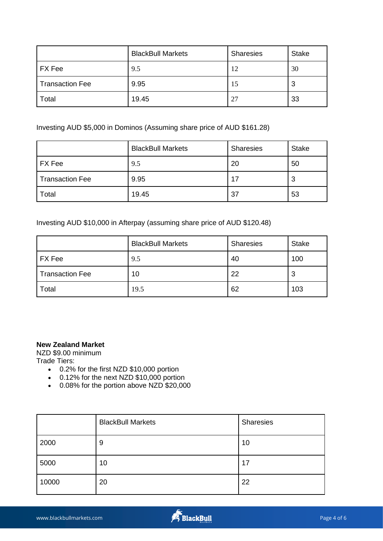|                        | <b>BlackBull Markets</b> | <b>Sharesies</b> | <b>Stake</b> |
|------------------------|--------------------------|------------------|--------------|
| FX Fee                 | 9.5                      | 12               | 30           |
| <b>Transaction Fee</b> | 9.95                     | 15               | 3            |
| Total                  | 19.45                    | 27               | 33           |

Investing AUD \$5,000 in Dominos (Assuming share price of AUD \$161.28)

|                        | <b>BlackBull Markets</b> | <b>Sharesies</b> | <b>Stake</b> |
|------------------------|--------------------------|------------------|--------------|
| FX Fee                 | 9.5                      | 20               | 50           |
| <b>Transaction Fee</b> | 9.95                     | 17               | 3            |
| Total                  | 19.45                    | 37               | 53           |

Investing AUD \$10,000 in Afterpay (assuming share price of AUD \$120.48)

|                        | <b>BlackBull Markets</b> | <b>Sharesies</b> | <b>Stake</b> |
|------------------------|--------------------------|------------------|--------------|
| FX Fee                 | 9.5                      | 40               | 100          |
| <b>Transaction Fee</b> | 10                       | 22               | 3            |
| Total                  | 19.5                     | 62               | 103          |

## **New Zealand Market**

NZD \$9.00 minimum Trade Tiers:

- 0.2% for the first NZD \$10,000 portion
- 0.12% for the next NZD \$10,000 portion
- 0.08% for the portion above NZD \$20,000

|       | <b>BlackBull Markets</b> | Sharesies |
|-------|--------------------------|-----------|
| 2000  | 9                        | 10        |
| 5000  | 10                       | 17        |
| 10000 | 20                       | 22        |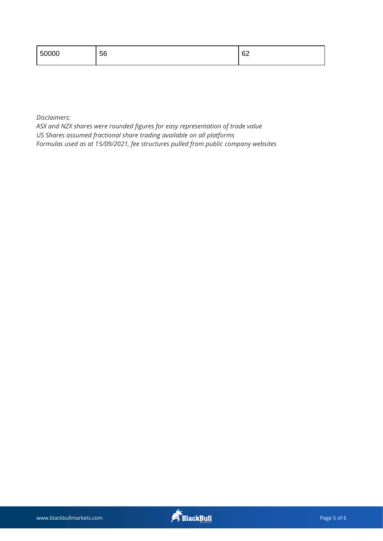| 50000 | ഹ  |
|-------|----|
| 56    | ◡∠ |

*Disclaimers:*

*ASX and NZX shares were rounded figures for easy representation of trade value US Shares assumed fractional share trading available on all platforms Formulas used as at 15/09/2021, fee structures pulled from public company websites*